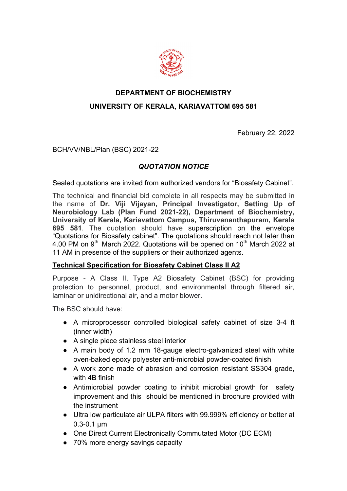

### **DEPARTMENT OF BIOCHEMISTRY**

### **UNIVERSITY OF KERALA, KARIAVATTOM 695 581**

February 22, 2022

BCH/VV/NBL/Plan (BSC) 2021-22

# *QUOTATION NOTICE*

Sealed quotations are invited from authorized vendors for "Biosafety Cabinet".

The technical and financial bid complete in all respects may be submitted in the name of **Dr. Viji Vijayan, Principal Investigator, Setting Up of Neurobiology Lab (Plan Fund 2021-22), Department of Biochemistry, University of Kerala, Kariavattom Campus, Thiruvananthapuram, Kerala 695 581**. The quotation should have superscription on the envelope "Quotations for Biosafety cabinet". The quotations should reach not later than 4.00 PM on  $9<sup>th</sup>$  March 2022. Quotations will be opened on  $10<sup>th</sup>$  March 2022 at 11 AM in presence of the suppliers or their authorized agents.

### **Technical Specification for Biosafety Cabinet Class II A2**

Purpose - A Class II, Type A2 Biosafety Cabinet (BSC) for providing protection to personnel, product, and environmental through filtered air, laminar or unidirectional air, and a motor blower.

The BSC should have:

- A microprocessor controlled biological safety cabinet of size 3-4 ft (inner width)
- A single piece stainless steel interior
- A main body of 1.2 mm 18-gauge electro-galvanized steel with white oven-baked epoxy polyester anti-microbial powder-coated finish
- A work zone made of abrasion and corrosion resistant SS304 grade, with 4B finish
- Antimicrobial powder coating to inhibit microbial growth for safety improvement and this should be mentioned in brochure provided with the instrument
- Ultra low particulate air ULPA filters with 99.999% efficiency or better at 0.3-0.1 µm
- One Direct Current Electronically Commutated Motor (DC ECM)
- 70% more energy savings capacity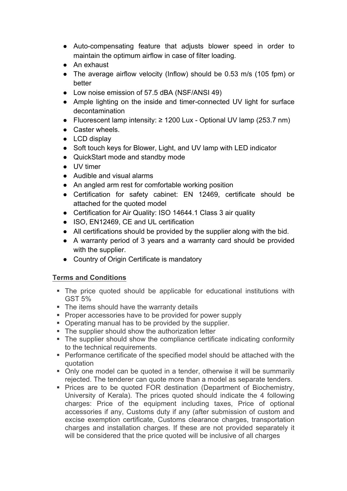- Auto-compensating feature that adjusts blower speed in order to maintain the optimum airflow in case of filter loading.
- An exhaust
- The average airflow velocity (Inflow) should be 0.53 m/s (105 fpm) or better
- Low noise emission of 57.5 dBA (NSF/ANSI 49)
- Ample lighting on the inside and timer-connected UV light for surface decontamination
- $\bullet$  Fluorescent lamp intensity: ≥ 1200 Lux Optional UV lamp (253.7 nm)
- Caster wheels.
- LCD display
- Soft touch keys for Blower, Light, and UV lamp with LED indicator
- QuickStart mode and standby mode
- UV timer
- Audible and visual alarms
- An angled arm rest for comfortable working position
- Certification for safety cabinet: EN 12469, certificate should be attached for the quoted model
- Certification for Air Quality: ISO 14644.1 Class 3 air quality
- ISO, EN12469, CE and UL certification
- All certifications should be provided by the supplier along with the bid.
- A warranty period of 3 years and a warranty card should be provided with the supplier.
- Country of Origin Certificate is mandatory

## **Terms and Conditions**

- The price quoted should be applicable for educational institutions with GST 5%
- The items should have the warranty details
- Proper accessories have to be provided for power supply
- Operating manual has to be provided by the supplier.
- The supplier should show the authorization letter
- The supplier should show the compliance certificate indicating conformity to the technical requirements.
- Performance certificate of the specified model should be attached with the quotation
- Only one model can be quoted in a tender, otherwise it will be summarily rejected. The tenderer can quote more than a model as separate tenders.
- Prices are to be quoted FOR destination (Department of Biochemistry, University of Kerala). The prices quoted should indicate the 4 following charges: Price of the equipment including taxes, Price of optional accessories if any, Customs duty if any (after submission of custom and excise exemption certificate, Customs clearance charges, transportation charges and installation charges. If these are not provided separately it will be considered that the price quoted will be inclusive of all charges